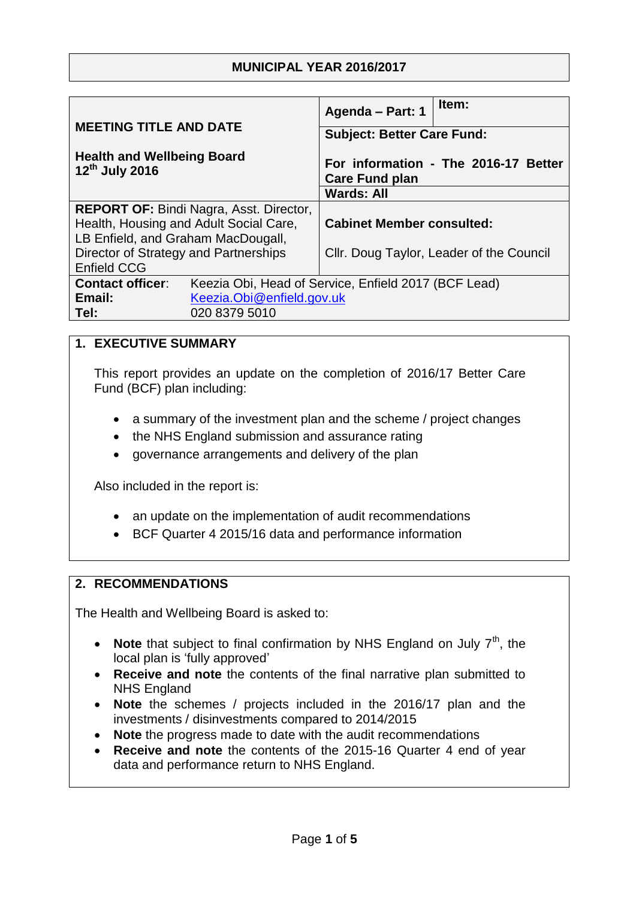# **MUNICIPAL YEAR 2016/2017**

| <b>MEETING TITLE AND DATE</b>                                                   | Item:<br>Agenda - Part: 1                                     |
|---------------------------------------------------------------------------------|---------------------------------------------------------------|
|                                                                                 | <b>Subject: Better Care Fund:</b>                             |
| <b>Health and Wellbeing Board</b><br>12th July 2016                             | For information - The 2016-17 Better<br><b>Care Fund plan</b> |
|                                                                                 | <b>Wards: All</b>                                             |
| <b>REPORT OF: Bindi Nagra, Asst. Director,</b>                                  |                                                               |
| Health, Housing and Adult Social Care,                                          | <b>Cabinet Member consulted:</b>                              |
| LB Enfield, and Graham MacDougall,                                              |                                                               |
| Director of Strategy and Partnerships                                           | Cllr. Doug Taylor, Leader of the Council                      |
| <b>Enfield CCG</b>                                                              |                                                               |
| <b>Contact officer:</b><br>Keezia Obi, Head of Service, Enfield 2017 (BCF Lead) |                                                               |
| Keezia.Obi@enfield.gov.uk<br>Email:                                             |                                                               |
| Tel:<br>020 8379 5010                                                           |                                                               |

### **1. EXECUTIVE SUMMARY**

This report provides an update on the completion of 2016/17 Better Care Fund (BCF) plan including:

- a summary of the investment plan and the scheme / project changes
- the NHS England submission and assurance rating
- governance arrangements and delivery of the plan

Also included in the report is:

- an update on the implementation of audit recommendations
- BCF Quarter 4 2015/16 data and performance information

### **2. RECOMMENDATIONS**

The Health and Wellbeing Board is asked to:

- **Note** that subject to final confirmation by NHS England on July  $7<sup>th</sup>$ , the local plan is 'fully approved'
- **Receive and note** the contents of the final narrative plan submitted to NHS England
- **Note** the schemes / projects included in the 2016/17 plan and the investments / disinvestments compared to 2014/2015
- **Note** the progress made to date with the audit recommendations
- **Receive and note** the contents of the 2015-16 Quarter 4 end of year data and performance return to NHS England.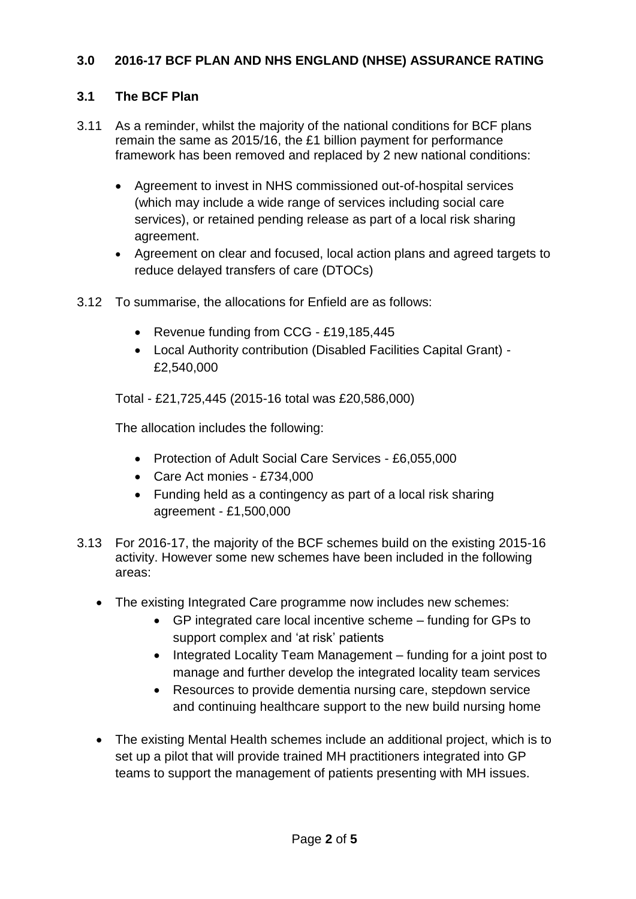# **3.0 2016-17 BCF PLAN AND NHS ENGLAND (NHSE) ASSURANCE RATING**

# **3.1 The BCF Plan**

- 3.11 As a reminder, whilst the majority of the national conditions for BCF plans remain the same as 2015/16, the £1 billion payment for performance framework has been removed and replaced by 2 new national conditions:
	- Agreement to invest in NHS commissioned out-of-hospital services (which may include a wide range of services including social care services), or retained pending release as part of a local risk sharing agreement.
	- Agreement on clear and focused, local action plans and agreed targets to reduce delayed transfers of care (DTOCs)
- 3.12 To summarise, the allocations for Enfield are as follows:
	- Revenue funding from CCG £19,185,445
	- Local Authority contribution (Disabled Facilities Capital Grant) £2,540,000

Total - £21,725,445 (2015-16 total was £20,586,000)

The allocation includes the following:

- Protection of Adult Social Care Services £6,055,000
- Care Act monies £734,000
- Funding held as a contingency as part of a local risk sharing agreement - £1,500,000
- 3.13 For 2016-17, the majority of the BCF schemes build on the existing 2015-16 activity. However some new schemes have been included in the following areas:
	- The existing Integrated Care programme now includes new schemes:
		- GP integrated care local incentive scheme funding for GPs to support complex and 'at risk' patients
		- Integrated Locality Team Management funding for a joint post to manage and further develop the integrated locality team services
		- Resources to provide dementia nursing care, stepdown service and continuing healthcare support to the new build nursing home
	- The existing Mental Health schemes include an additional project, which is to set up a pilot that will provide trained MH practitioners integrated into GP teams to support the management of patients presenting with MH issues.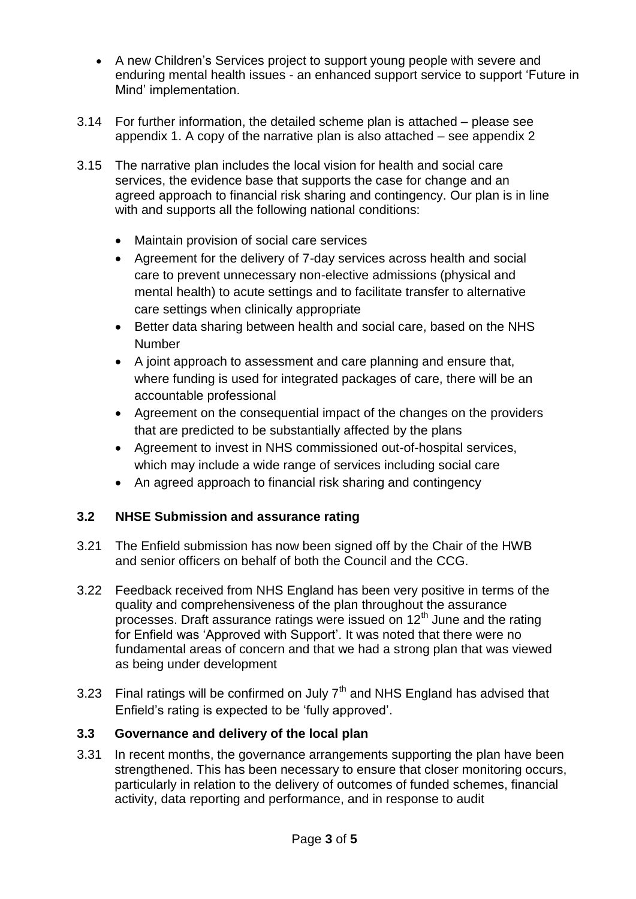- A new Children's Services project to support young people with severe and enduring mental health issues - an enhanced support service to support 'Future in Mind' implementation.
- 3.14 For further information, the detailed scheme plan is attached please see appendix 1. A copy of the narrative plan is also attached – see appendix 2
- 3.15 The narrative plan includes the local vision for health and social care services, the evidence base that supports the case for change and an agreed approach to financial risk sharing and contingency. Our plan is in line with and supports all the following national conditions:
	- Maintain provision of social care services
	- Agreement for the delivery of 7-day services across health and social care to prevent unnecessary non-elective admissions (physical and mental health) to acute settings and to facilitate transfer to alternative care settings when clinically appropriate
	- Better data sharing between health and social care, based on the NHS Number
	- A joint approach to assessment and care planning and ensure that, where funding is used for integrated packages of care, there will be an accountable professional
	- Agreement on the consequential impact of the changes on the providers that are predicted to be substantially affected by the plans
	- Agreement to invest in NHS commissioned out-of-hospital services, which may include a wide range of services including social care
	- An agreed approach to financial risk sharing and contingency

### **3.2 NHSE Submission and assurance rating**

- 3.21 The Enfield submission has now been signed off by the Chair of the HWB and senior officers on behalf of both the Council and the CCG.
- 3.22 Feedback received from NHS England has been very positive in terms of the quality and comprehensiveness of the plan throughout the assurance processes. Draft assurance ratings were issued on  $12<sup>th</sup>$  June and the rating for Enfield was 'Approved with Support'. It was noted that there were no fundamental areas of concern and that we had a strong plan that was viewed as being under development
- 3.23 Final ratings will be confirmed on July  $7<sup>th</sup>$  and NHS England has advised that Enfield's rating is expected to be 'fully approved'.

### **3.3 Governance and delivery of the local plan**

3.31 In recent months, the governance arrangements supporting the plan have been strengthened. This has been necessary to ensure that closer monitoring occurs, particularly in relation to the delivery of outcomes of funded schemes, financial activity, data reporting and performance, and in response to audit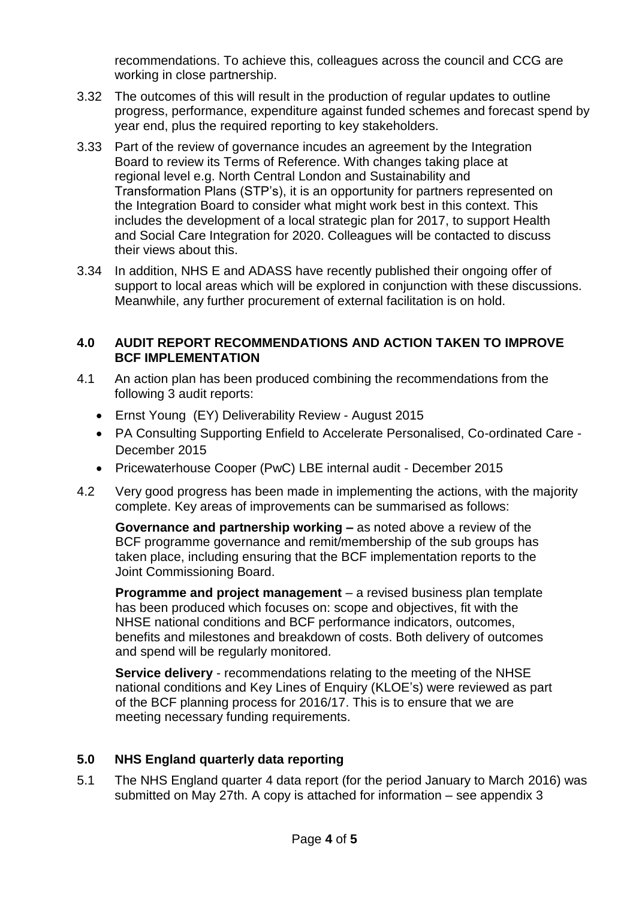recommendations. To achieve this, colleagues across the council and CCG are working in close partnership.

- 3.32 The outcomes of this will result in the production of regular updates to outline progress, performance, expenditure against funded schemes and forecast spend by year end, plus the required reporting to key stakeholders.
- 3.33 Part of the review of governance incudes an agreement by the Integration Board to review its Terms of Reference. With changes taking place at regional level e.g. North Central London and Sustainability and Transformation Plans (STP's), it is an opportunity for partners represented on the Integration Board to consider what might work best in this context. This includes the development of a local strategic plan for 2017, to support Health and Social Care Integration for 2020. Colleagues will be contacted to discuss their views about this.
- 3.34 In addition, NHS E and ADASS have recently published their ongoing offer of support to local areas which will be explored in conjunction with these discussions. Meanwhile, any further procurement of external facilitation is on hold.

#### **4.0 AUDIT REPORT RECOMMENDATIONS AND ACTION TAKEN TO IMPROVE BCF IMPLEMENTATION**

- 4.1 An action plan has been produced combining the recommendations from the following 3 audit reports:
	- Ernst Young (EY) Deliverability Review August 2015
	- PA Consulting Supporting Enfield to Accelerate Personalised, Co-ordinated Care December 2015
	- Pricewaterhouse Cooper (PwC) LBE internal audit December 2015
- 4.2 Very good progress has been made in implementing the actions, with the majority complete. Key areas of improvements can be summarised as follows:

**Governance and partnership working –** as noted above a review of the BCF programme governance and remit/membership of the sub groups has taken place, including ensuring that the BCF implementation reports to the Joint Commissioning Board.

**Programme and project management** – a revised business plan template has been produced which focuses on: scope and objectives, fit with the NHSE national conditions and BCF performance indicators, outcomes, benefits and milestones and breakdown of costs. Both delivery of outcomes and spend will be regularly monitored.

**Service delivery** - recommendations relating to the meeting of the NHSE national conditions and Key Lines of Enquiry (KLOE's) were reviewed as part of the BCF planning process for 2016/17. This is to ensure that we are meeting necessary funding requirements.

### **5.0 NHS England quarterly data reporting**

5.1 The NHS England quarter 4 data report (for the period January to March 2016) was submitted on May 27th. A copy is attached for information – see appendix 3